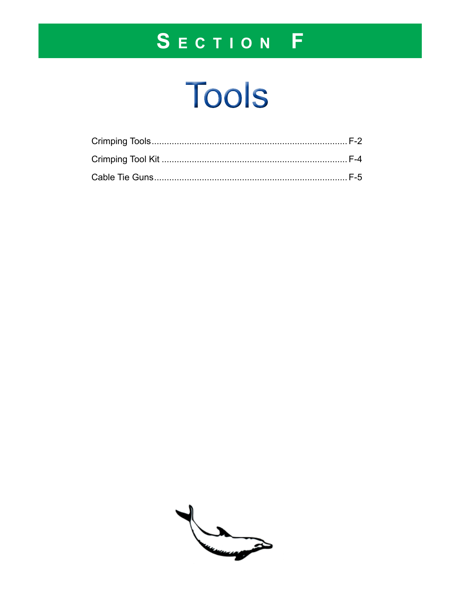# SECTION F

# Tools

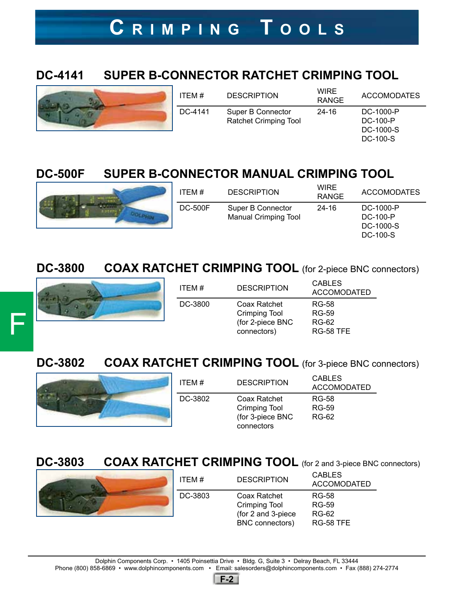## **C r i m p i n g T o o l s**

### **DC-4141 SUPER B-CONNECTOR RATCHET CRIMPING TOOL**



| ITEM #  | <b>DESCRIPTION</b>                                | <b>WIRE</b><br><b>RANGE</b> | <b>ACCOMODATES</b>                             |
|---------|---------------------------------------------------|-----------------------------|------------------------------------------------|
| DC-4141 | Super B Connector<br><b>Ratchet Crimping Tool</b> | 24-16                       | DC-1000-P<br>DC-100-P<br>DC-1000-S<br>DC-100-S |

### **DC-500F SUPER B-CONNECTOR MANUAL CRIMPING TOOL**



| ITEM#          | <b>DESCRIPTION</b>                               | WIRE<br><b>RANGE</b> | <b>ACCOMODATES</b>    |
|----------------|--------------------------------------------------|----------------------|-----------------------|
| <b>DC-500F</b> | Super B Connector<br><b>Manual Crimping Tool</b> | 24-16                | DC-1000-P<br>DC-100-P |
|                |                                                  |                      | DC-1000-S             |
|                |                                                  |                      | DC-100-S              |

**DC-3800 COAX RATCHET CRIMPING TOOL** (for 2-piece BNC connectors)



| ITEM #  | <b>DESCRIPTION</b>                                                      | <b>CABLES</b><br><b>ACCOMODATED</b>                |
|---------|-------------------------------------------------------------------------|----------------------------------------------------|
| DC-3800 | Coax Ratchet<br><b>Crimping Tool</b><br>(for 2-piece BNC<br>connectors) | RG-58<br>RG-59<br><b>RG-62</b><br><b>RG-58 TFE</b> |

**DC-3802 COAX RATCHET CRIMPING TOOL** (for 3-piece BNC connectors)



| ITEM#   | <b>DESCRIPTION</b>                                                     | <b>CABLES</b><br><b>ACCOMODATED</b> |
|---------|------------------------------------------------------------------------|-------------------------------------|
| DC-3802 | Coax Ratchet<br><b>Crimping Tool</b><br>(for 3-piece BNC<br>connectors | RG-58<br>RG-59<br><b>RG-62</b>      |

**DC-3803 COAX RATCHET CRIMPING TOOL** (for 2 and 3-piece BNC connectors)



| ITEM#   | <b>DESCRIPTION</b>                                                            | <b>CABLES</b><br><b>ACCOMODATED</b>         |
|---------|-------------------------------------------------------------------------------|---------------------------------------------|
| DC-3803 | Coax Ratchet<br><b>Crimping Tool</b><br>(for 2 and 3-piece<br>BNC connectors) | RG-58<br>RG-59<br><b>RG-62</b><br>RG-58 TFE |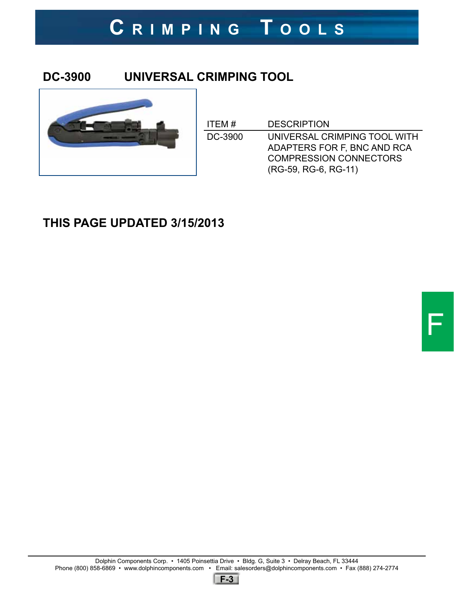# **C r i m p i n g T o o l s**

#### **DC-3900 UNIVERSAL CRIMPING TOOL**



| ITEM #  | <b>DESCRIPTION</b>                                                                                                   |
|---------|----------------------------------------------------------------------------------------------------------------------|
| DC-3900 | UNIVERSAL CRIMPING TOOL WITH<br>ADAPTERS FOR F, BNC AND RCA<br><b>COMPRESSION CONNECTORS</b><br>(RG-59, RG-6, RG-11) |

### **THIS PAGE UPDATED 3/15/2013**

F

**F-3**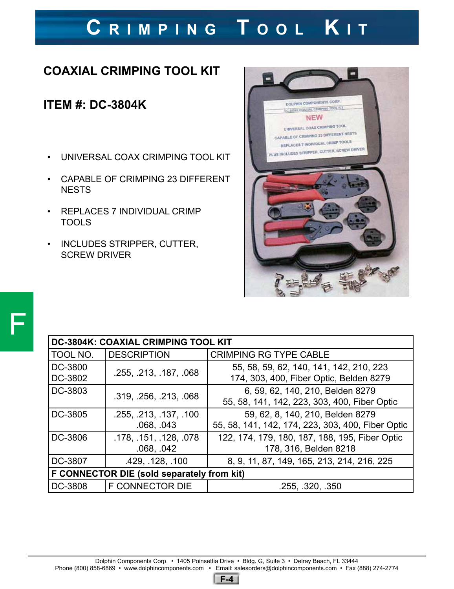# **C r i m p i n g T o o l K i t**

### **COAXIAL CRIMPING TOOL KIT**

#### **ITEM #: DC-3804K**

- UNIVERSAL COAX CRIMPING TOOL KIT
- CAPABLE OF CRIMPING 23 DIFFERENT **NESTS**
- REPLACES 7 INDIVIDUAL CRIMP TOOLS
- INCLUDES STRIPPER, CUTTER, SCREW DRIVER



| <b>DC-3804K: COAXIAL CRIMPING TOOL KIT</b> |                                      |                                                                                       |  |
|--------------------------------------------|--------------------------------------|---------------------------------------------------------------------------------------|--|
| TOOL NO.                                   | <b>DESCRIPTION</b>                   | <b>CRIMPING RG TYPE CABLE</b>                                                         |  |
| DC-3800<br>DC-3802                         | .255, .213, .187, .068               | 55, 58, 59, 62, 140, 141, 142, 210, 223<br>174, 303, 400, Fiber Optic, Belden 8279    |  |
| DC-3803                                    | .319, .256, .213, .068               | 6, 59, 62, 140, 210, Belden 8279<br>55, 58, 141, 142, 223, 303, 400, Fiber Optic      |  |
| DC-3805                                    | .255, .213, .137, .100<br>.068, .043 | 59, 62, 8, 140, 210, Belden 8279<br>55, 58, 141, 142, 174, 223, 303, 400, Fiber Optic |  |
| DC-3806                                    | .178, .151, .128, .078<br>.068, .042 | 122, 174, 179, 180, 187, 188, 195, Fiber Optic<br>178, 316, Belden 8218               |  |
| DC-3807                                    | .429, .128, .100                     | 8, 9, 11, 87, 149, 165, 213, 214, 216, 225                                            |  |
| F CONNECTOR DIE (sold separately from kit) |                                      |                                                                                       |  |
| DC-3808                                    | <b>F CONNECTOR DIE</b>               | .255, .320, .350                                                                      |  |

Dolphin Components Corp. • 1405 Poinsettia Drive • Bldg. G, Suite 3 • Delray Beach, FL 33444 Phone (800) 858-6869 • www.dolphincomponents.com • Email: salesorders@dolphincomponents.com • Fax (888) 274-2774